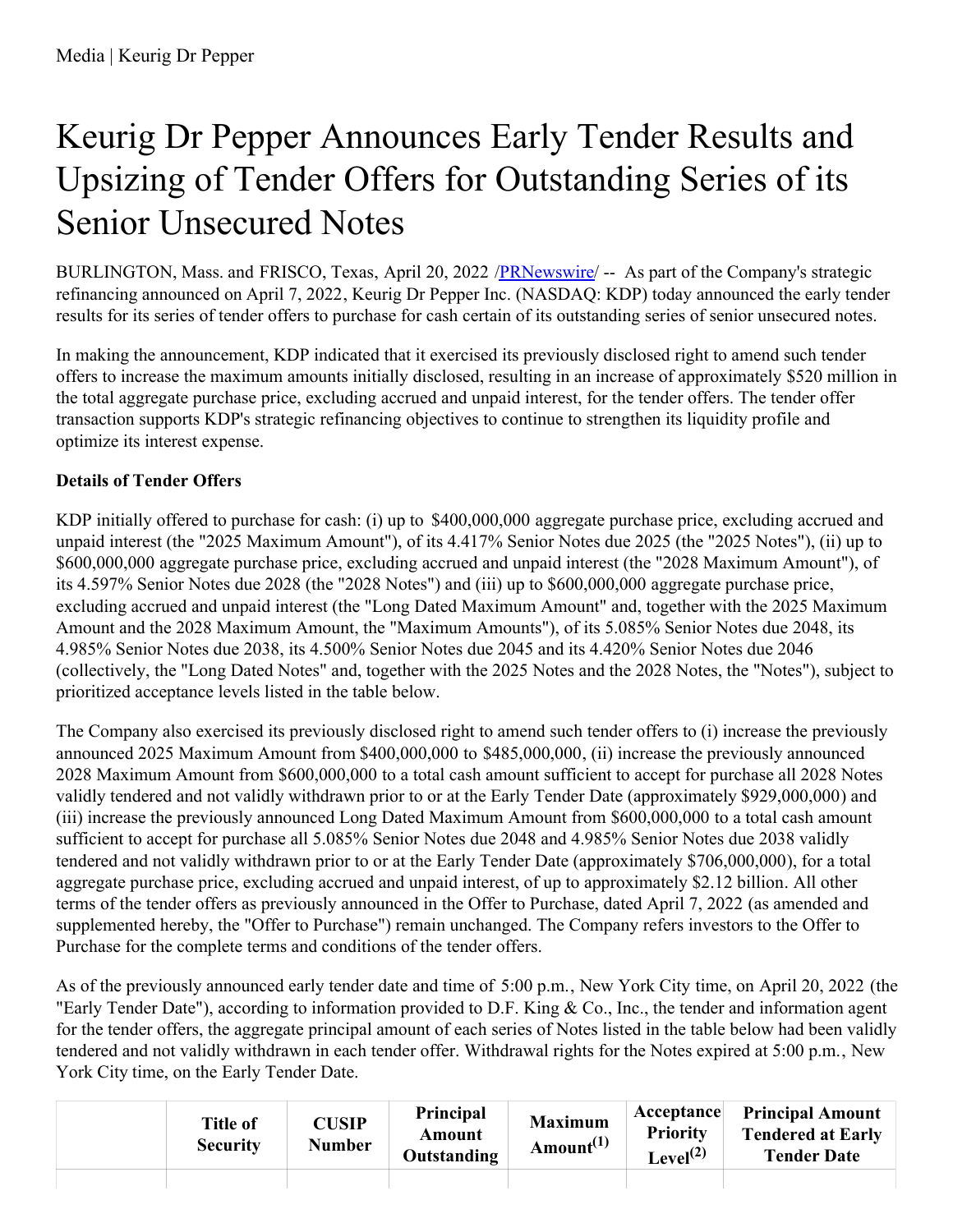# Keurig Dr Pepper Announces Early Tender Results and Upsizing of Tender Offers for Outstanding Series of its Senior Unsecured Notes

BURLINGTON, Mass. and FRISCO, Texas, April 20, 2022 /**PRNewswire/** -- As part of the Company's strategic refinancing announced on April 7, 2022, Keurig Dr Pepper Inc. (NASDAQ: KDP) today announced the early tender results for its series of tender offers to purchase for cash certain of its outstanding series of senior unsecured notes.

In making the announcement, KDP indicated that it exercised its previously disclosed right to amend such tender offers to increase the maximum amounts initially disclosed, resulting in an increase of approximately \$520 million in the total aggregate purchase price, excluding accrued and unpaid interest, for the tender offers. The tender offer transaction supports KDP's strategic refinancing objectives to continue to strengthen its liquidity profile and optimize its interest expense.

## **Details of Tender Offers**

KDP initially offered to purchase for cash: (i) up to \$400,000,000 aggregate purchase price, excluding accrued and unpaid interest (the "2025 Maximum Amount"), of its 4.417% Senior Notes due 2025 (the "2025 Notes"), (ii) up to \$600,000,000 aggregate purchase price, excluding accrued and unpaid interest (the "2028 Maximum Amount"), of its 4.597% Senior Notes due 2028 (the "2028 Notes") and (iii) up to \$600,000,000 aggregate purchase price, excluding accrued and unpaid interest (the "Long Dated Maximum Amount" and, together with the 2025 Maximum Amount and the 2028 Maximum Amount, the "Maximum Amounts"), of its 5.085% Senior Notes due 2048, its 4.985% Senior Notes due 2038, its 4.500% Senior Notes due 2045 and its 4.420% Senior Notes due 2046 (collectively, the "Long Dated Notes" and, together with the 2025 Notes and the 2028 Notes, the "Notes"), subject to prioritized acceptance levels listed in the table below.

The Company also exercised its previously disclosed right to amend such tender offers to (i) increase the previously announced 2025 Maximum Amount from \$400,000,000 to \$485,000,000, (ii) increase the previously announced 2028 Maximum Amount from \$600,000,000 to a total cash amount sufficient to accept for purchase all 2028 Notes validly tendered and not validly withdrawn prior to or at the Early Tender Date (approximately \$929,000,000) and (iii) increase the previously announced Long Dated Maximum Amount from \$600,000,000 to a total cash amount sufficient to accept for purchase all 5.085% Senior Notes due 2048 and 4.985% Senior Notes due 2038 validly tendered and not validly withdrawn prior to or at the Early Tender Date (approximately \$706,000,000), for a total aggregate purchase price, excluding accrued and unpaid interest, of up to approximately \$2.12 billion. All other terms of the tender offers as previously announced in the Offer to Purchase, dated April 7, 2022 (as amended and supplemented hereby, the "Offer to Purchase") remain unchanged. The Company refers investors to the Offer to Purchase for the complete terms and conditions of the tender offers.

As of the previously announced early tender date and time of 5:00 p.m., New York City time, on April 20, 2022 (the "Early Tender Date"), according to information provided to D.F. King  $\&$  Co., Inc., the tender and information agent for the tender offers, the aggregate principal amount of each series of Notes listed in the table below had been validly tendered and not validly withdrawn in each tender offer. Withdrawal rights for the Notes expired at 5:00 p.m., New York City time, on the Early Tender Date.

| <b>Title of</b><br><b>Security</b> | <b>CUSIP</b><br><b>Number</b> | Principal<br>Amount<br>Outstanding | <b>Maximum</b><br>Amount <sup>(1)</sup> | Acceptance<br><b>Priority</b><br>Level $^{(2)}$ | <b>Principal Amount</b><br><b>Tendered at Early</b><br><b>Tender Date</b> |
|------------------------------------|-------------------------------|------------------------------------|-----------------------------------------|-------------------------------------------------|---------------------------------------------------------------------------|
|                                    |                               |                                    |                                         |                                                 |                                                                           |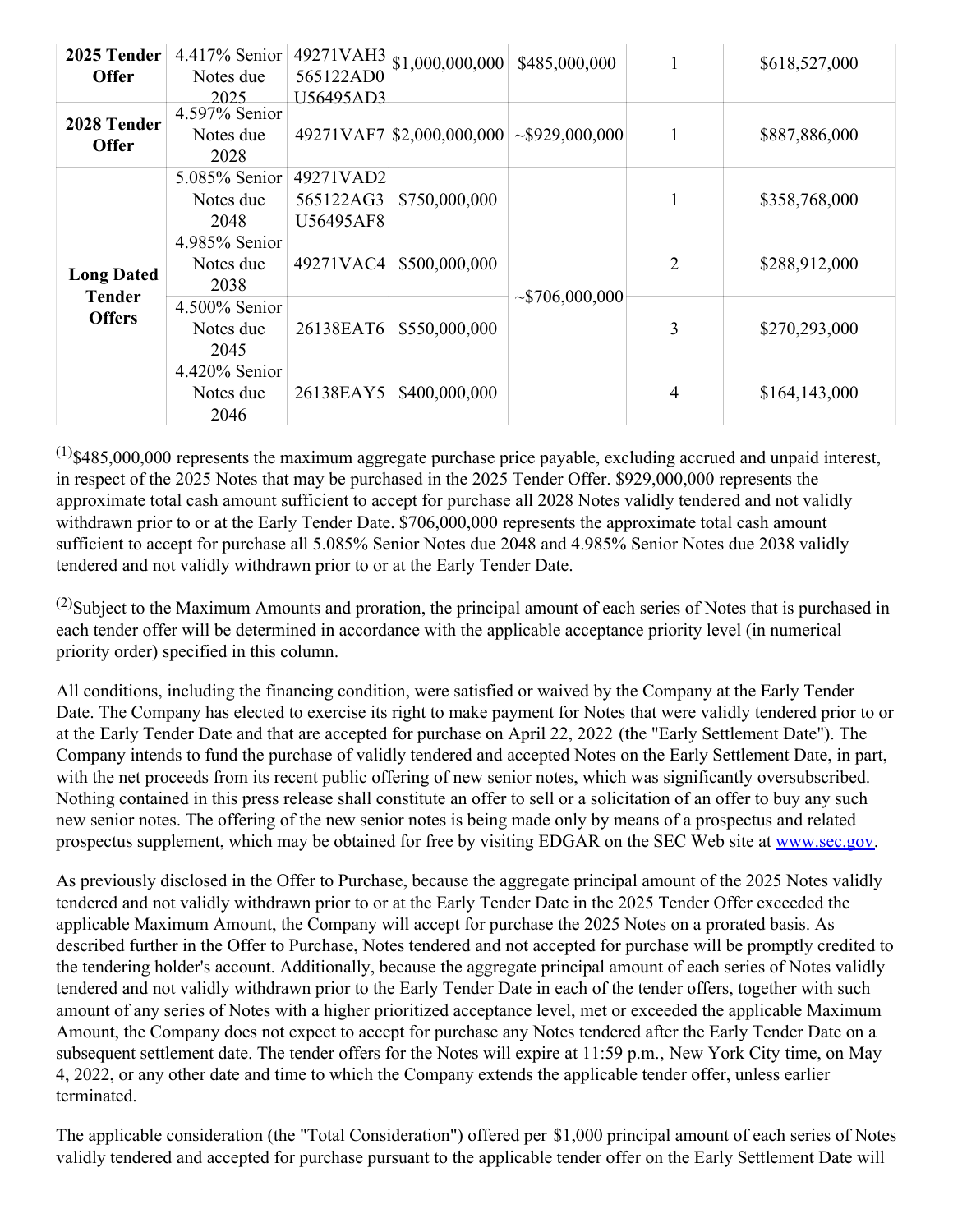| 2025 Tender<br><b>Offer</b>                         | 4.417% Senior<br>Notes due<br>2025 | 565122AD0<br>U56495AD3              | 49271VAH3 \$1,000,000,000 | \$485,000,000        |   | \$618,527,000 |
|-----------------------------------------------------|------------------------------------|-------------------------------------|---------------------------|----------------------|---|---------------|
| 2028 Tender<br><b>Offer</b>                         | 4.597% Senior<br>Notes due<br>2028 |                                     | 49271VAF7 \$2,000,000,000 | $\sim$ \$929,000,000 |   | \$887,886,000 |
| <b>Long Dated</b><br><b>Tender</b><br><b>Offers</b> | 5.085% Senior<br>Notes due<br>2048 | 49271VAD2<br>565122AG3<br>U56495AF8 | \$750,000,000             | $\sim$ \$706,000,000 |   | \$358,768,000 |
|                                                     | 4.985% Senior<br>Notes due<br>2038 | 49271VAC4                           | \$500,000,000             |                      | 2 | \$288,912,000 |
|                                                     | 4.500% Senior<br>Notes due<br>2045 | 26138EAT6                           | \$550,000,000             |                      | 3 | \$270,293,000 |
|                                                     | 4.420% Senior<br>Notes due<br>2046 | 26138EAY5                           | \$400,000,000             |                      | 4 | \$164,143,000 |

 $(1)$ \$485,000,000 represents the maximum aggregate purchase price payable, excluding accrued and unpaid interest, in respect of the 2025 Notes that may be purchased in the 2025 Tender Offer. \$929,000,000 represents the approximate total cash amount sufficient to accept for purchase all 2028 Notes validly tendered and not validly withdrawn prior to or at the Early Tender Date. \$706,000,000 represents the approximate total cash amount sufficient to accept for purchase all 5.085% Senior Notes due 2048 and 4.985% Senior Notes due 2038 validly tendered and not validly withdrawn prior to or at the Early Tender Date.

<sup>(2)</sup>Subject to the Maximum Amounts and proration, the principal amount of each series of Notes that is purchased in each tender offer will be determined in accordance with the applicable acceptance priority level (in numerical priority order) specified in this column.

All conditions, including the financing condition, were satisfied or waived by the Company at the Early Tender Date. The Company has elected to exercise its right to make payment for Notes that were validly tendered prior to or at the Early Tender Date and that are accepted for purchase on April 22, 2022 (the "Early Settlement Date"). The Company intends to fund the purchase of validly tendered and accepted Notes on the Early Settlement Date, in part, with the net proceeds from its recent public offering of new senior notes, which was significantly oversubscribed. Nothing contained in this press release shall constitute an offer to sell or a solicitation of an offer to buy any such new senior notes. The offering of the new senior notes is being made only by means of a prospectus and related prospectus supplement, which may be obtained for free by visiting EDGAR on the SEC Web site at [www.sec.gov](https://c212.net/c/link/?t=0&l=en&o=3511623-1&h=1766808686&u=http%3A%2F%2Fwww.sec.gov%2F&a=www.sec.gov).

As previously disclosed in the Offer to Purchase, because the aggregate principal amount of the 2025 Notes validly tendered and not validly withdrawn prior to or at the Early Tender Date in the 2025 Tender Offer exceeded the applicable Maximum Amount, the Company will accept for purchase the 2025 Notes on a prorated basis. As described further in the Offer to Purchase, Notes tendered and not accepted for purchase will be promptly credited to the tendering holder's account. Additionally, because the aggregate principal amount of each series of Notes validly tendered and not validly withdrawn prior to the Early Tender Date in each of the tender offers, together with such amount of any series of Notes with a higher prioritized acceptance level, met or exceeded the applicable Maximum Amount, the Company does not expect to accept for purchase any Notes tendered after the Early Tender Date on a subsequent settlement date. The tender offers for the Notes will expire at 11:59 p.m., New York City time, on May 4, 2022, or any other date and time to which the Company extends the applicable tender offer, unless earlier terminated.

The applicable consideration (the "Total Consideration") offered per \$1,000 principal amount of each series of Notes validly tendered and accepted for purchase pursuant to the applicable tender offer on the Early Settlement Date will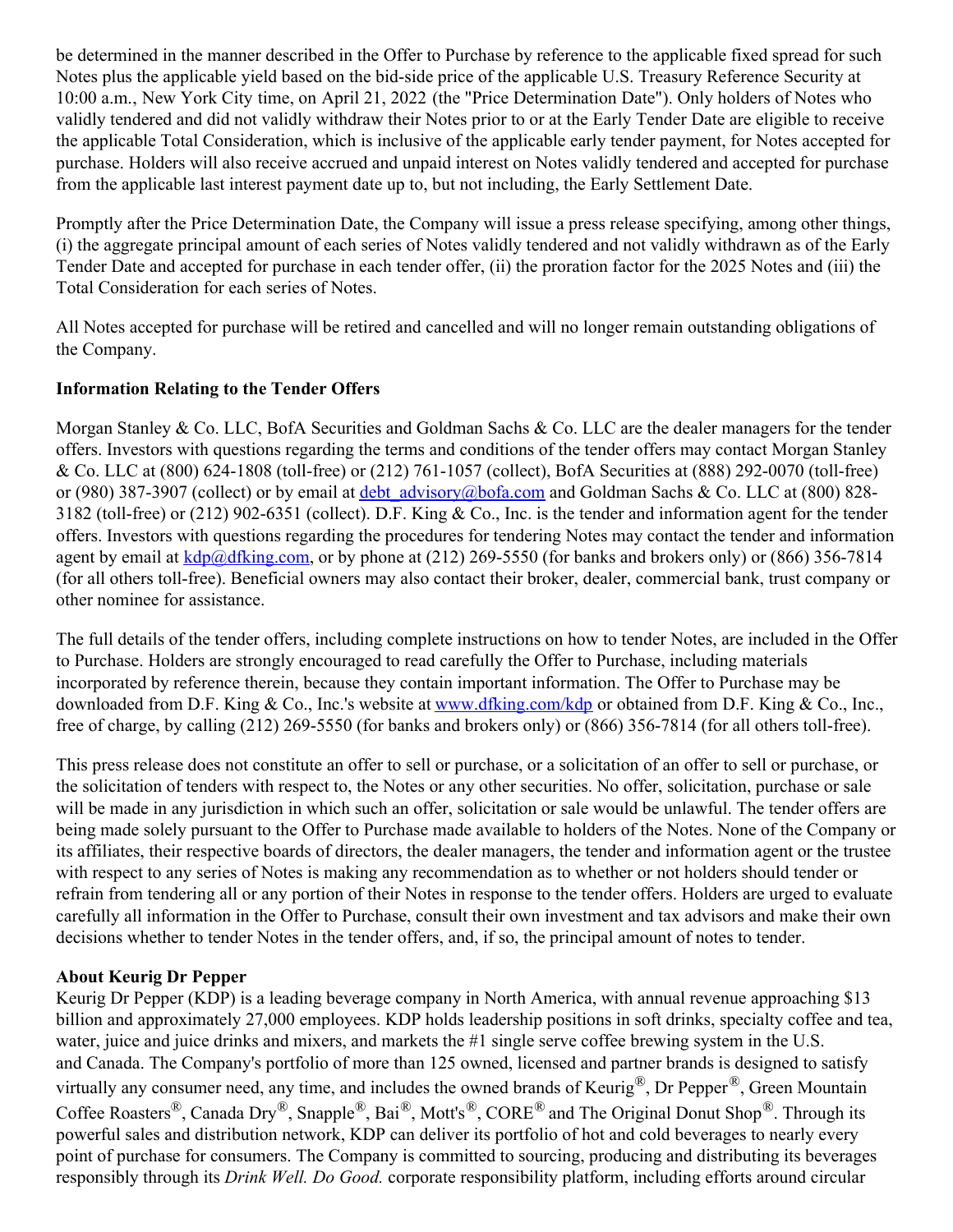be determined in the manner described in the Offer to Purchase by reference to the applicable fixed spread for such Notes plus the applicable yield based on the bid-side price of the applicable U.S. Treasury Reference Security at 10:00 a.m., New York City time, on April 21, 2022 (the "Price Determination Date"). Only holders of Notes who validly tendered and did not validly withdraw their Notes prior to or at the Early Tender Date are eligible to receive the applicable Total Consideration, which is inclusive of the applicable early tender payment, for Notes accepted for purchase. Holders will also receive accrued and unpaid interest on Notes validly tendered and accepted for purchase from the applicable last interest payment date up to, but not including, the Early Settlement Date.

Promptly after the Price Determination Date, the Company will issue a press release specifying, among other things, (i) the aggregate principal amount of each series of Notes validly tendered and not validly withdrawn as of the Early Tender Date and accepted for purchase in each tender offer, (ii) the proration factor for the 2025 Notes and (iii) the Total Consideration for each series of Notes.

All Notes accepted for purchase will be retired and cancelled and will no longer remain outstanding obligations of the Company.

## **Information Relating to the Tender Offers**

Morgan Stanley & Co. LLC, BofA Securities and Goldman Sachs & Co. LLC are the dealer managers for the tender offers. Investors with questions regarding the terms and conditions of the tender offers may contact Morgan Stanley & Co. LLC at (800) 624-1808 (toll-free) or (212) 761-1057 (collect), BofA Securities at (888) 292-0070 (toll-free) or (980) 387-3907 (collect) or by email at debt advisory@bofa.com and Goldman Sachs & Co. LLC at (800) 828-3182 (toll-free) or (212) 902-6351 (collect). D.F. King & Co., Inc. is the tender and information agent for the tender offers. Investors with questions regarding the procedures for tendering Notes may contact the tender and information agent by email at  $\frac{kdp}{\omega}$ dfking.com, or by phone at (212) 269-5550 (for banks and brokers only) or (866) 356-7814 (for all others toll-free). Beneficial owners may also contact their broker, dealer, commercial bank, trust company or other nominee for assistance.

The full details of the tender offers, including complete instructions on how to tender Notes, are included in the Offer to Purchase. Holders are strongly encouraged to read carefully the Offer to Purchase, including materials incorporated by reference therein, because they contain important information. The Offer to Purchase may be downloaded from D.F. King & Co., Inc.'s website at [www.dfking.com/kdp](http://www.dfking.com/kdp) or obtained from D.F. King & Co., Inc., free of charge, by calling (212) 269-5550 (for banks and brokers only) or (866) 356-7814 (for all others toll-free).

This press release does not constitute an offer to sell or purchase, or a solicitation of an offer to sell or purchase, or the solicitation of tenders with respect to, the Notes or any other securities. No offer, solicitation, purchase or sale will be made in any jurisdiction in which such an offer, solicitation or sale would be unlawful. The tender offers are being made solely pursuant to the Offer to Purchase made available to holders of the Notes. None of the Company or its affiliates, their respective boards of directors, the dealer managers, the tender and information agent or the trustee with respect to any series of Notes is making any recommendation as to whether or not holders should tender or refrain from tendering all or any portion of their Notes in response to the tender offers. Holders are urged to evaluate carefully all information in the Offer to Purchase, consult their own investment and tax advisors and make their own decisions whether to tender Notes in the tender offers, and, if so, the principal amount of notes to tender.

## **About Keurig Dr Pepper**

Keurig Dr Pepper (KDP) is a leading beverage company in North America, with annual revenue approaching \$13 billion and approximately 27,000 employees. KDP holds leadership positions in soft drinks, specialty coffee and tea, water, juice and juice drinks and mixers, and markets the #1 single serve coffee brewing system in the U.S. and Canada. The Company's portfolio of more than 125 owned, licensed and partner brands is designed to satisfy virtually any consumer need, any time, and includes the owned brands of Keurig<sup>®</sup>, Dr Pepper<sup>®</sup>, Green Mountain Coffee Roasters<sup>®</sup>, Canada Dry®, Snapple®, Bai®, Mott's®, CORE® and The Original Donut Shop®. Through its powerful sales and distribution network, KDP can deliver its portfolio of hot and cold beverages to nearly every point of purchase for consumers. The Company is committed to sourcing, producing and distributing its beverages responsibly through its *Drink Well. Do Good.* corporate responsibility platform, including efforts around circular